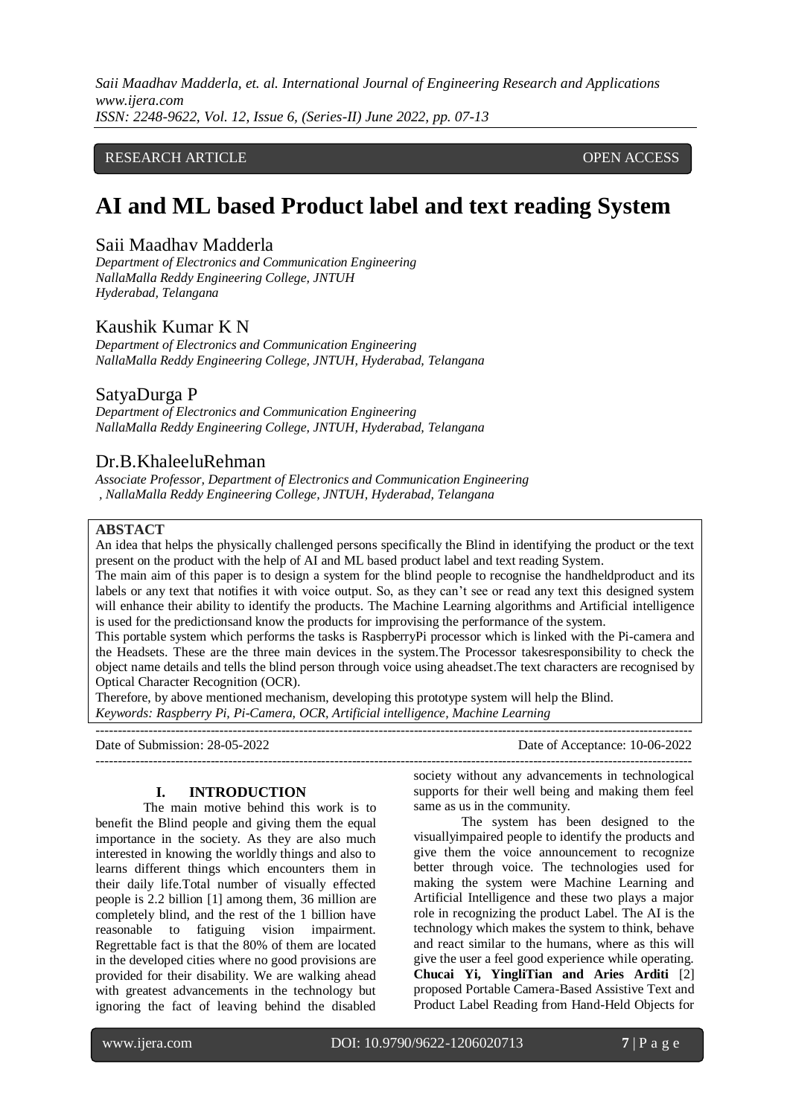#### RESEARCH ARTICLE **CONSERVERS** OPEN ACCESS

# **AI and ML based Product label and text reading System**

# Saii Maadhav Madderla

*Department of Electronics and Communication Engineering NallaMalla Reddy Engineering College, JNTUH Hyderabad, Telangana*

# Kaushik Kumar K N

*Department of Electronics and Communication Engineering NallaMalla Reddy Engineering College, JNTUH, Hyderabad, Telangana*

# SatyaDurga P

*Department of Electronics and Communication Engineering NallaMalla Reddy Engineering College, JNTUH, Hyderabad, Telangana*

# Dr.B.KhaleeluRehman

*Associate Professor, Department of Electronics and Communication Engineering , NallaMalla Reddy Engineering College, JNTUH, Hyderabad, Telangana*

#### **ABSTACT**

An idea that helps the physically challenged persons specifically the Blind in identifying the product or the text present on the product with the help of AI and ML based product label and text reading System.

The main aim of this paper is to design a system for the blind people to recognise the handheldproduct and its labels or any text that notifies it with voice output. So, as they can't see or read any text this designed system will enhance their ability to identify the products. The Machine Learning algorithms and Artificial intelligence is used for the predictionsand know the products for improvising the performance of the system.

This portable system which performs the tasks is RaspberryPi processor which is linked with the Pi-camera and the Headsets. These are the three main devices in the system.The Processor takesresponsibility to check the object name details and tells the blind person through voice using aheadset.The text characters are recognised by Optical Character Recognition (OCR).

Therefore, by above mentioned mechanism, developing this prototype system will help the Blind. *Keywords: Raspberry Pi, Pi-Camera, OCR, Artificial intelligence, Machine Learning* ---------------------------------------------------------------------------------------------------------------------------------------

Date of Submission: 28-05-2022 Date of Acceptance: 10-06-2022 ---------------------------------------------------------------------------------------------------------------------------------------

### **I. INTRODUCTION**

The main motive behind this work is to benefit the Blind people and giving them the equal importance in the society. As they are also much interested in knowing the worldly things and also to learns different things which encounters them in their daily life.Total number of visually effected people is 2.2 billion [1] among them, 36 million are completely blind, and the rest of the 1 billion have reasonable to fatiguing vision impairment. Regrettable fact is that the 80% of them are located in the developed cities where no good provisions are provided for their disability. We are walking ahead with greatest advancements in the technology but ignoring the fact of leaving behind the disabled

society without any advancements in technological supports for their well being and making them feel same as us in the community.

The system has been designed to the visuallyimpaired people to identify the products and give them the voice announcement to recognize better through voice. The technologies used for making the system were Machine Learning and Artificial Intelligence and these two plays a major role in recognizing the product Label. The AI is the technology which makes the system to think, behave and react similar to the humans, where as this will give the user a feel good experience while operating. **Chucai Yi, YingliTian and Aries Arditi** [2] proposed Portable Camera-Based Assistive Text and Product Label Reading from Hand-Held Objects for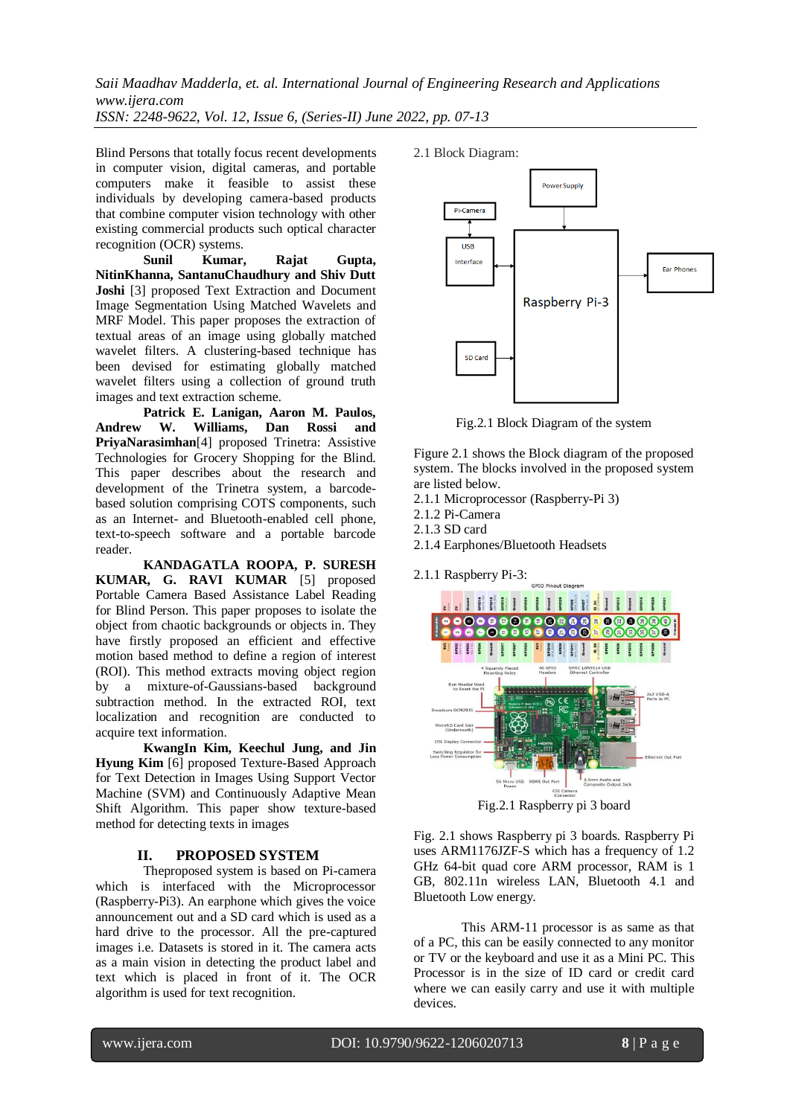Blind Persons that totally focus recent developments in computer vision, digital cameras, and portable computers make it feasible to assist these individuals by developing camera-based products that combine computer vision technology with other existing commercial products such optical character recognition (OCR) systems.

**Sunil Kumar, Rajat Gupta, NitinKhanna, SantanuChaudhury and Shiv Dutt Joshi** [3] proposed Text Extraction and Document Image Segmentation Using Matched Wavelets and MRF Model. This paper proposes the extraction of textual areas of an image using globally matched wavelet filters. A clustering-based technique has been devised for estimating globally matched wavelet filters using a collection of ground truth images and text extraction scheme.

**Patrick E. Lanigan, Aaron M. Paulos, Andrew W. Williams, Dan Rossi and PriyaNarasimhan**[4] proposed Trinetra: Assistive Technologies for Grocery Shopping for the Blind. This paper describes about the research and development of the Trinetra system, a barcodebased solution comprising COTS components, such as an Internet- and Bluetooth-enabled cell phone, text-to-speech software and a portable barcode reader.

**KANDAGATLA ROOPA, P. SURESH KUMAR, G. RAVI KUMAR** [5] proposed Portable Camera Based Assistance Label Reading for Blind Person. This paper proposes to isolate the object from chaotic backgrounds or objects in. They have firstly proposed an efficient and effective motion based method to define a region of interest (ROI). This method extracts moving object region by a mixture-of-Gaussians-based background subtraction method. In the extracted ROI, text localization and recognition are conducted to acquire text information.

**KwangIn Kim, Keechul Jung, and Jin Hyung Kim** [6] proposed Texture-Based Approach for Text Detection in Images Using Support Vector Machine (SVM) and Continuously Adaptive Mean Shift Algorithm. This paper show texture-based method for detecting texts in images

#### **II. PROPOSED SYSTEM**

Theproposed system is based on Pi-camera which is interfaced with the Microprocessor (Raspberry-Pi3). An earphone which gives the voice announcement out and a SD card which is used as a hard drive to the processor. All the pre-captured images i.e. Datasets is stored in it. The camera acts as a main vision in detecting the product label and text which is placed in front of it. The OCR algorithm is used for text recognition.



Fig.2.1 Block Diagram of the system

Figure 2.1 shows the Block diagram of the proposed system. The blocks involved in the proposed system are listed below.

- 2.1.1 Microprocessor (Raspberry-Pi 3)
- 2.1.2 Pi-Camera
- 2.1.3 SD card
- 2.1.4 Earphones/Bluetooth Headsets

2.1.1 Raspberry Pi-3:



Fig.2.1 Raspberry pi 3 board

Fig. 2.1 shows Raspberry pi 3 boards. Raspberry Pi uses ARM1176JZF-S which has a frequency of 1.2 GHz 64-bit quad core ARM processor, RAM is 1 GB, 802.11n wireless LAN, Bluetooth 4.1 and Bluetooth Low energy.

This ARM-11 processor is as same as that of a PC, this can be easily connected to any monitor or TV or the keyboard and use it as a Mini PC. This Processor is in the size of ID card or credit card where we can easily carry and use it with multiple devices.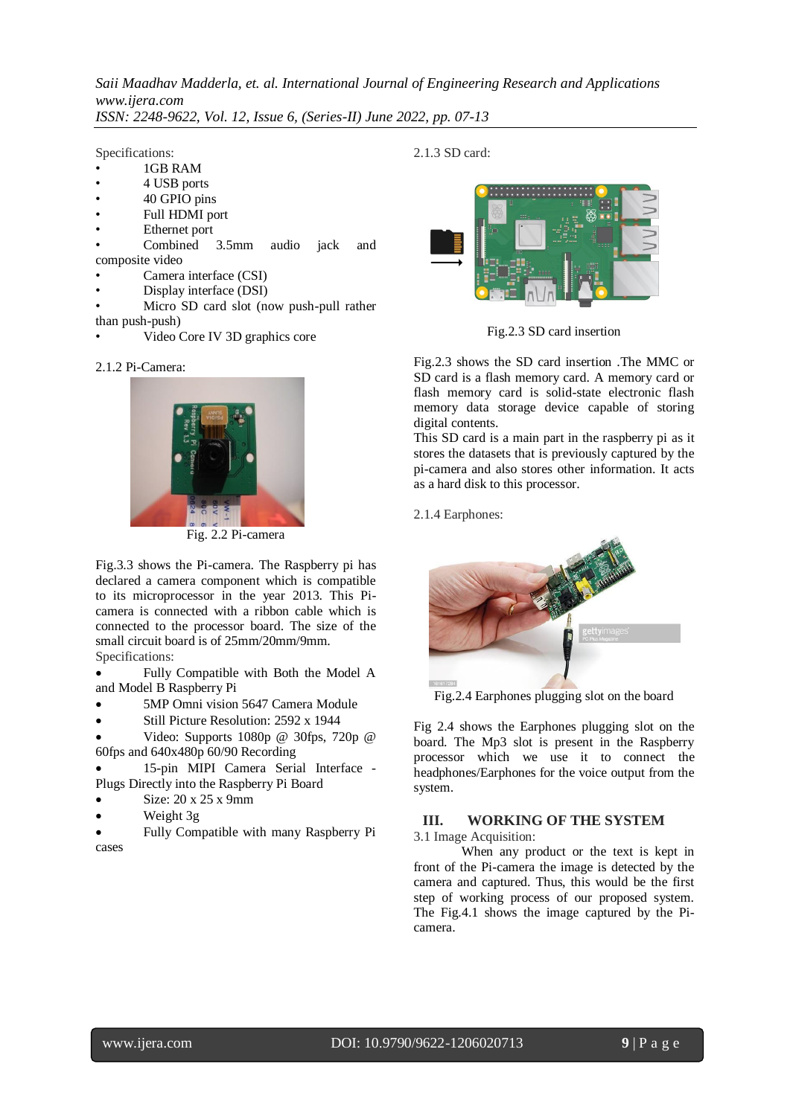Specifications:

- 1GB RAM
- 4 USB ports
- 40 GPIO pins
- Full HDMI port
- Ethernet port
- Combined 3.5mm audio jack and composite video
- Camera interface (CSI)
- Display interface (DSI)
- Micro SD card slot (now push-pull rather than push-push)
- Video Core IV 3D graphics core

#### 2.1.2 Pi-Camera:



Fig. 2.2 Pi-camera

Fig.3.3 shows the Pi-camera. The Raspberry pi has declared a camera component which is compatible to its microprocessor in the year 2013. This Picamera is connected with a ribbon cable which is connected to the processor board. The size of the small circuit board is of 25mm/20mm/9mm. Specifications:

 Fully Compatible with Both the Model A and Model B Raspberry Pi

- 5MP Omni vision 5647 Camera Module
- Still Picture Resolution: 2592 x 1944

 Video: Supports 1080p @ 30fps, 720p @ 60fps and 640x480p 60/90 Recording

 15-pin MIPI Camera Serial Interface - Plugs Directly into the Raspberry Pi Board

- Size: 20 x 25 x 9mm
- Weight 3g

 Fully Compatible with many Raspberry Pi cases

2.1.3 SD card:



Fig.2.3 SD card insertion

Fig.2.3 shows the SD card insertion .The MMC or SD card is a flash memory card. A memory card or flash memory card is solid-state electronic flash memory data storage device capable of storing digital contents.

This SD card is a main part in the raspberry pi as it stores the datasets that is previously captured by the pi-camera and also stores other information. It acts as a hard disk to this processor.

2.1.4 Earphones:



Fig.2.4 Earphones plugging slot on the board

Fig 2.4 shows the Earphones plugging slot on the board. The Mp3 slot is present in the Raspberry processor which we use it to connect the headphones/Earphones for the voice output from the system.

# **III. WORKING OF THE SYSTEM**

3.1 Image Acquisition:

When any product or the text is kept in front of the Pi-camera the image is detected by the camera and captured. Thus, this would be the first step of working process of our proposed system. The Fig.4.1 shows the image captured by the Picamera.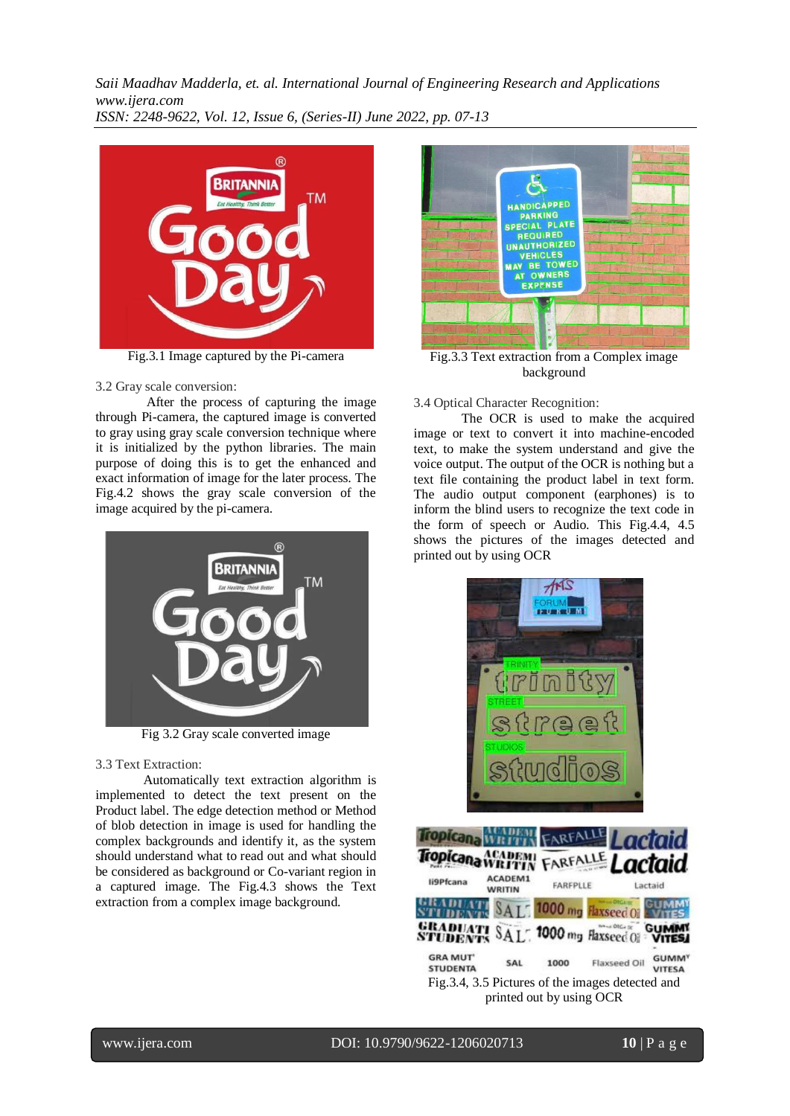

Fig.3.1 Image captured by the Pi-camera

#### 3.2 Gray scale conversion:

 After the process of capturing the image through Pi-camera, the captured image is converted to gray using gray scale conversion technique where it is initialized by the python libraries. The main purpose of doing this is to get the enhanced and exact information of image for the later process. The Fig.4.2 shows the gray scale conversion of the image acquired by the pi-camera.



Fig 3.2 Gray scale converted image

#### 3.3 Text Extraction:

 Automatically text extraction algorithm is implemented to detect the text present on the Product label. The edge detection method or Method of blob detection in image is used for handling the complex backgrounds and identify it, as the system should understand what to read out and what should be considered as background or Co-variant region in a captured image. The Fig.4.3 shows the Text extraction from a complex image background.



Fig.3.3 Text extraction from a Complex image background

#### 3.4 Optical Character Recognition:

The OCR is used to make the acquired image or text to convert it into machine-encoded text, to make the system understand and give the voice output. The output of the OCR is nothing but a text file containing the product label in text form. The audio output component (earphones) is to inform the blind users to recognize the text code in the form of speech or Audio. This Fig.4.4, 4.5 shows the pictures of the images detected and printed out by using OCR



|                                               |                          | <b>TIN FARFALLE</b>      |                                                   | Lactaid                                  |
|-----------------------------------------------|--------------------------|--------------------------|---------------------------------------------------|------------------------------------------|
| Tropicana MEADEMI FARFALLE                    |                          |                          |                                                   | Lactaid                                  |
| li9Pfcana                                     | ACADEM1<br><b>WRITIN</b> | FARFPLLE                 |                                                   | Lactaid                                  |
|                                               |                          |                          | SAL 1000 mg Flaxseed Oil                          |                                          |
| <b>GRADUATI SAL 1000 mg Haxseed OF VITES!</b> |                          |                          |                                                   |                                          |
| <b>GRA MUT'</b><br><b>STUDENTA</b>            | SAL                      | 1000                     | Flaxseed Oil                                      | <b>GUMM<sup>Y</sup></b><br><b>VITESA</b> |
|                                               |                          |                          | Fig. 3.4, 3.5 Pictures of the images detected and |                                          |
|                                               |                          | printed out by using OCR |                                                   |                                          |

# www.ijera.com DOI: 10.9790/9622-1206020713 **10** | P a g e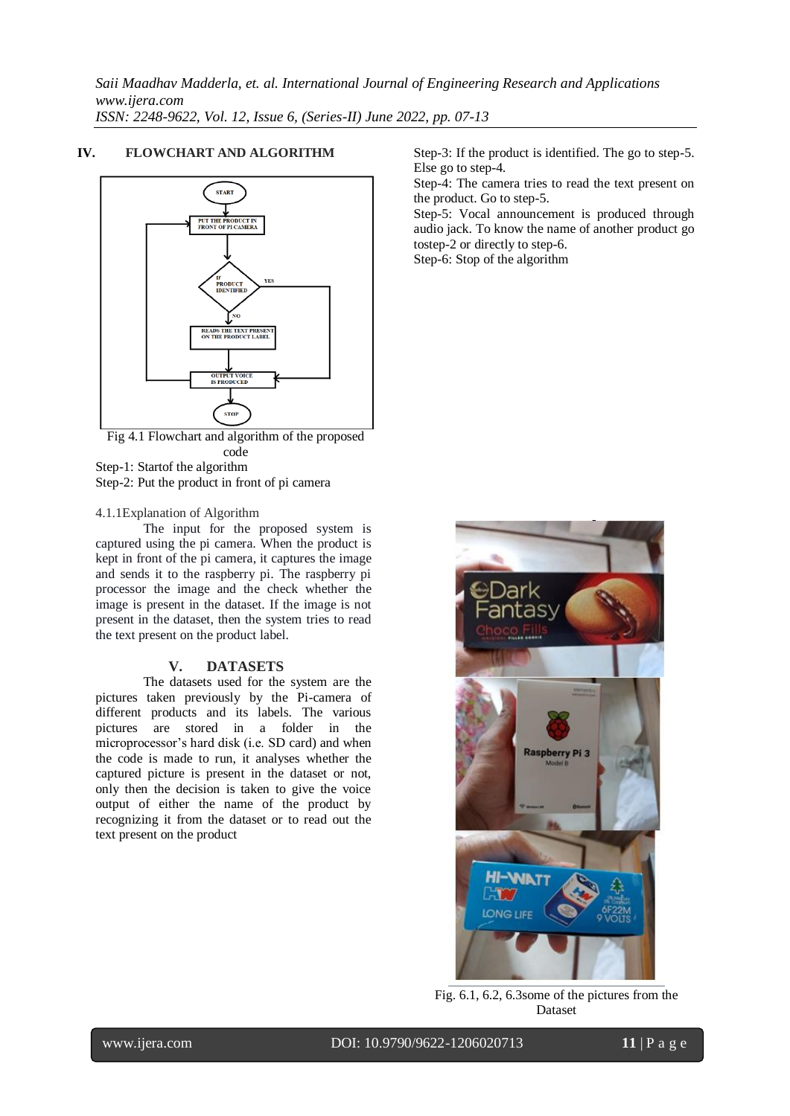#### **IV. FLOWCHART AND ALGORITHM**



Fig 4.1 Flowchart and algorithm of the proposed code Step-1: Startof the algorithm Step-2: Put the product in front of pi camera

#### 4.1.1Explanation of Algorithm

The input for the proposed system is captured using the pi camera. When the product is kept in front of the pi camera, it captures the image and sends it to the raspberry pi. The raspberry pi processor the image and the check whether the image is present in the dataset. If the image is not present in the dataset, then the system tries to read the text present on the product label.

#### **V. DATASETS**

The datasets used for the system are the pictures taken previously by the Pi-camera of different products and its labels. The various pictures are stored in a folder in the microprocessor's hard disk (i.e. SD card) and when the code is made to run, it analyses whether the captured picture is present in the dataset or not, only then the decision is taken to give the voice output of either the name of the product by recognizing it from the dataset or to read out the text present on the product

Step-3: If the product is identified. The go to step-5. Else go to step-4.

Step-4: The camera tries to read the text present on the product. Go to step-5.

Step-5: Vocal announcement is produced through audio jack. To know the name of another product go tostep-2 or directly to step-6.

Step-6: Stop of the algorithm



Fig. 6.1, 6.2, 6.3some of the pictures from the Dataset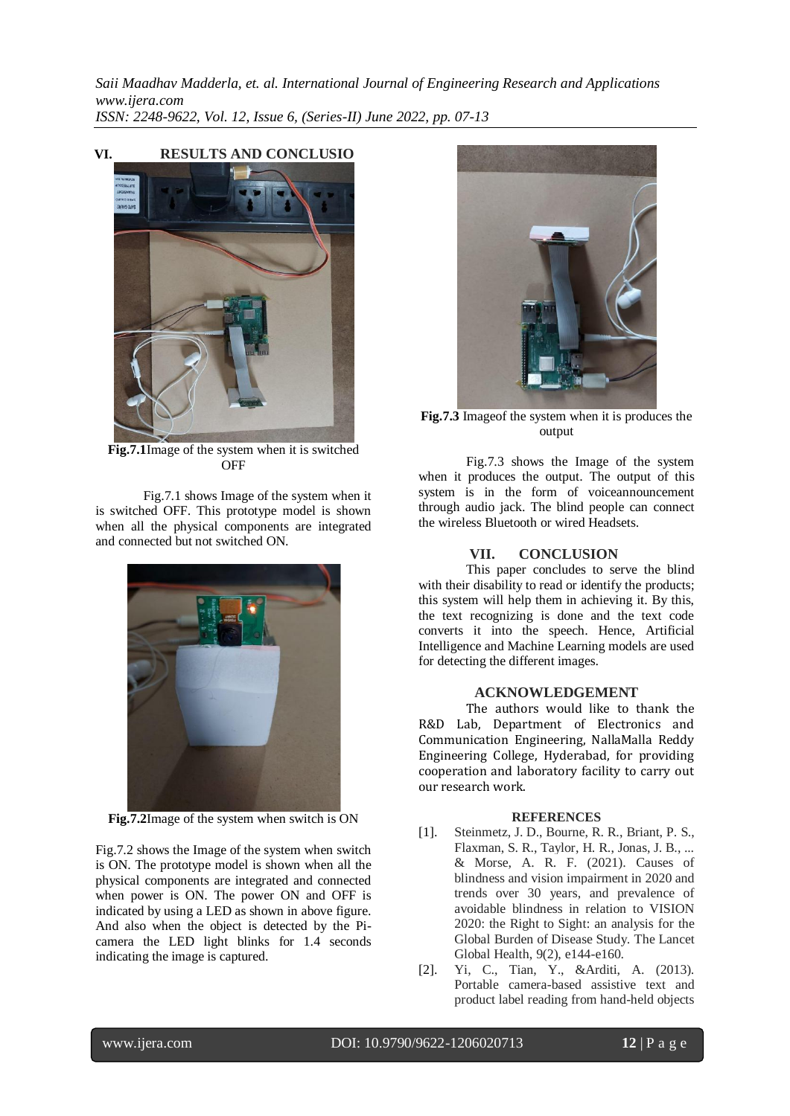**VI. RESULTS AND CONCLUSIO**



**Fig.7.1**Image of the system when it is switched **OFF** 

Fig.7.1 shows Image of the system when it is switched OFF. This prototype model is shown when all the physical components are integrated and connected but not switched ON.



**Fig.7.2**Image of the system when switch is ON

Fig.7.2 shows the Image of the system when switch is ON. The prototype model is shown when all the physical components are integrated and connected when power is ON. The power ON and OFF is indicated by using a LED as shown in above figure. And also when the object is detected by the Picamera the LED light blinks for 1.4 seconds indicating the image is captured.



**Fig.7.3** Imageof the system when it is produces the output

Fig.7.3 shows the Image of the system when it produces the output. The output of this system is in the form of voiceannouncement through audio jack. The blind people can connect the wireless Bluetooth or wired Headsets.

#### **VII. CONCLUSION**

This paper concludes to serve the blind with their disability to read or identify the products; this system will help them in achieving it. By this, the text recognizing is done and the text code converts it into the speech. Hence, Artificial Intelligence and Machine Learning models are used for detecting the different images.

#### **ACKNOWLEDGEMENT**

The authors would like to thank the R&D Lab, Department of Electronics and Communication Engineering, NallaMalla Reddy Engineering College, Hyderabad, for providing cooperation and laboratory facility to carry out our research work.

#### **REFERENCES**

- [1]. Steinmetz, J. D., Bourne, R. R., Briant, P. S., Flaxman, S. R., Taylor, H. R., Jonas, J. B., ... & Morse, A. R. F. (2021). Causes of blindness and vision impairment in 2020 and trends over 30 years, and prevalence of avoidable blindness in relation to VISION 2020: the Right to Sight: an analysis for the Global Burden of Disease Study. The Lancet Global Health, 9(2), e144-e160.
- [2]. Yi, C., Tian, Y., &Arditi, A. (2013). Portable camera-based assistive text and product label reading from hand-held objects